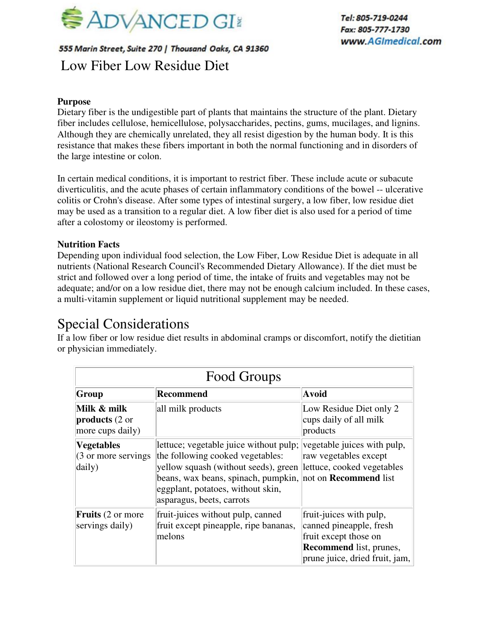

## 555 Marin Street, Suite 270 | Thousand Oaks, CA 91360 Low Fiber Low Residue Diet

## **Purpose**

Dietary fiber is the undigestible part of plants that maintains the structure of the plant. Dietary fiber includes cellulose, hemicellulose, polysaccharides, pectins, gums, mucilages, and lignins. Although they are chemically unrelated, they all resist digestion by the human body. It is this resistance that makes these fibers important in both the normal functioning and in disorders of the large intestine or colon.

In certain medical conditions, it is important to restrict fiber. These include acute or subacute diverticulitis, and the acute phases of certain inflammatory conditions of the bowel -- ulcerative colitis or Crohn's disease. After some types of intestinal surgery, a low fiber, low residue diet may be used as a transition to a regular diet. A low fiber diet is also used for a period of time after a colostomy or ileostomy is performed.

## **Nutrition Facts**

Depending upon individual food selection, the Low Fiber, Low Residue Diet is adequate in all nutrients (National Research Council's Recommended Dietary Allowance). If the diet must be strict and followed over a long period of time, the intake of fruits and vegetables may not be adequate; and/or on a low residue diet, there may not be enough calcium included. In these cases, a multi-vitamin supplement or liquid nutritional supplement may be needed.

## Special Considerations

If a low fiber or low residue diet results in abdominal cramps or discomfort, notify the dietitian or physician immediately.

| Food Groups                                                  |                                                                                                                                                                                                                                                                                     |                                                                                                                                                 |  |  |  |
|--------------------------------------------------------------|-------------------------------------------------------------------------------------------------------------------------------------------------------------------------------------------------------------------------------------------------------------------------------------|-------------------------------------------------------------------------------------------------------------------------------------------------|--|--|--|
| Group                                                        | <b>Recommend</b>                                                                                                                                                                                                                                                                    | <b>Avoid</b>                                                                                                                                    |  |  |  |
| Milk & milk<br><b>products</b> (2 or<br>more cups daily)     | all milk products                                                                                                                                                                                                                                                                   | Low Residue Diet only 2<br>cups daily of all milk<br>products                                                                                   |  |  |  |
| <b>Vegetables</b><br>$(3 \text{ or more serving})$<br>daily) | lettuce; vegetable juice without pulp;<br>the following cooked vegetables:<br>yellow squash (without seeds), green lettuce, cooked vegetables<br>beans, wax beans, spinach, pumpkin, not on <b>Recommend</b> list<br>eggplant, potatoes, without skin,<br>asparagus, beets, carrots | vegetable juices with pulp,<br>raw vegetables except                                                                                            |  |  |  |
| <b>Fruits</b> (2 or more<br>servings daily)                  | fruit-juices without pulp, canned<br>fruit except pineapple, ripe bananas,<br>melons                                                                                                                                                                                                | fruit-juices with pulp,<br>canned pineapple, fresh<br>fruit except those on<br><b>Recommend</b> list, prunes,<br>prune juice, dried fruit, jam, |  |  |  |